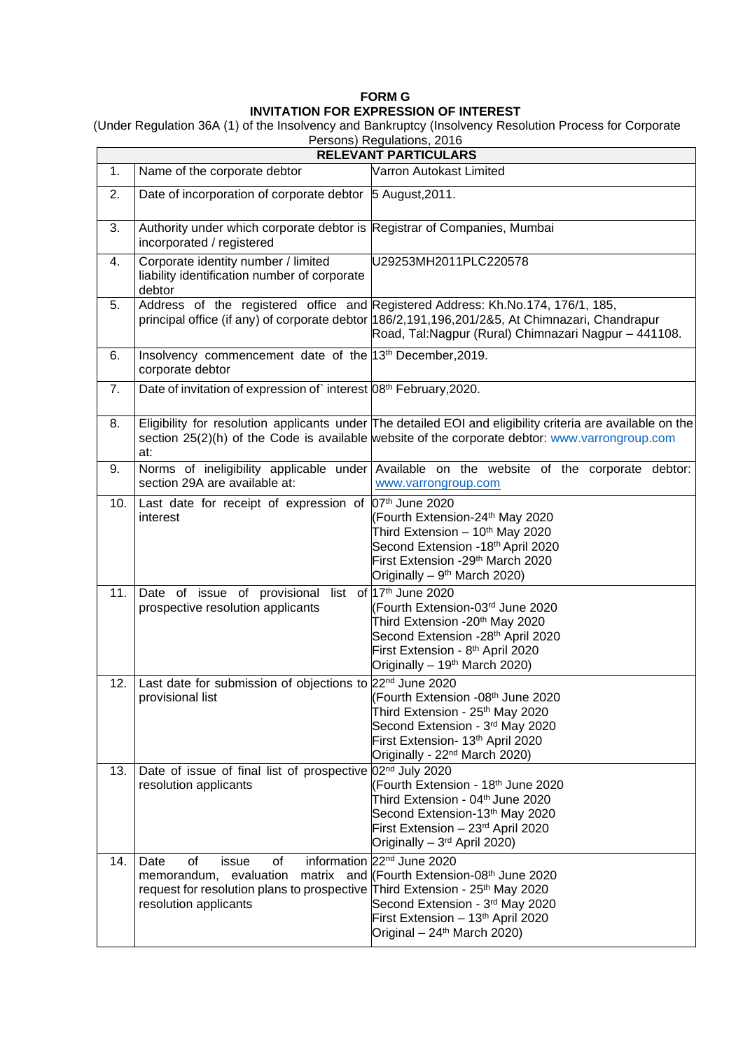## **FORM G INVITATION FOR EXPRESSION OF INTEREST**

(Under Regulation 36A (1) of the Insolvency and Bankruptcy (Insolvency Resolution Process for Corporate Persons) Regulations, 2016

| $\alpha$ croons) negarations, zu ru<br><b>RELEVANT PARTICULARS</b> |                                                                                                                                                                         |                                                                                                                                                                                                                                             |
|--------------------------------------------------------------------|-------------------------------------------------------------------------------------------------------------------------------------------------------------------------|---------------------------------------------------------------------------------------------------------------------------------------------------------------------------------------------------------------------------------------------|
| 1.                                                                 | Name of the corporate debtor                                                                                                                                            | Varron Autokast Limited                                                                                                                                                                                                                     |
| 2.                                                                 | Date of incorporation of corporate debtor 5 August, 2011.                                                                                                               |                                                                                                                                                                                                                                             |
| 3.                                                                 | Authority under which corporate debtor is Registrar of Companies, Mumbai<br>incorporated / registered                                                                   |                                                                                                                                                                                                                                             |
| 4.                                                                 | Corporate identity number / limited<br>liability identification number of corporate<br>debtor                                                                           | U29253MH2011PLC220578                                                                                                                                                                                                                       |
| 5.                                                                 |                                                                                                                                                                         | Address of the registered office and Registered Address: Kh.No.174, 176/1, 185,<br>principal office (if any) of corporate debtor  186/2,191,196,201/2&5, At Chimnazari, Chandrapur<br>Road, Tal: Nagpur (Rural) Chimnazari Nagpur - 441108. |
| 6.                                                                 | Insolvency commencement date of the 13 <sup>th</sup> December, 2019.<br>corporate debtor                                                                                |                                                                                                                                                                                                                                             |
| 7.                                                                 | Date of invitation of expression of interest 08 <sup>th</sup> February, 2020.                                                                                           |                                                                                                                                                                                                                                             |
| 8.                                                                 | at:                                                                                                                                                                     | Eligibility for resolution applicants under The detailed EOI and eligibility criteria are available on the<br>section 25(2)(h) of the Code is available website of the corporate debtor: www.varrongroup.com                                |
| 9.                                                                 | section 29A are available at:                                                                                                                                           | Norms of ineligibility applicable under Available on the website of the corporate debtor:<br>www.varrongroup.com                                                                                                                            |
| 10.                                                                | Last date for receipt of expression of $ 07th$ June 2020<br>interest                                                                                                    | (Fourth Extension-24 <sup>th</sup> May 2020<br>Third Extension - 10 <sup>th</sup> May 2020<br>Second Extension -18th April 2020<br>First Extension -29 <sup>th</sup> March 2020<br>Originally – 9 <sup>th</sup> March 2020)                 |
| 11.                                                                | Date of issue of provisional list of 17 <sup>th</sup> June 2020<br>prospective resolution applicants                                                                    | (Fourth Extension-03rd June 2020<br>Third Extension -20 <sup>th</sup> May 2020<br>Second Extension -28 <sup>th</sup> April 2020<br>First Extension - 8 <sup>th</sup> April 2020<br>Originally - 19 <sup>th</sup> March 2020)                |
| 12.                                                                | Last date for submission of objections to 22 <sup>nd</sup> June 2020<br>provisional list                                                                                | (Fourth Extension -08 <sup>th</sup> June 2020<br>Third Extension - 25 <sup>th</sup> May 2020<br>Second Extension - 3rd May 2020<br>First Extension- 13th April 2020<br>Originally - 22 <sup>nd</sup> March 2020)                            |
| 13.                                                                | Date of issue of final list of prospective 02 <sup>nd</sup> July 2020<br>resolution applicants                                                                          | (Fourth Extension - 18th June 2020<br>Third Extension - 04th June 2020<br>Second Extension-13th May 2020<br>First Extension - 23rd April 2020<br>Originally - 3rd April 2020)                                                               |
| 14.                                                                | of<br>of<br>Date<br>issue<br>memorandum, evaluation<br>request for resolution plans to prospective Third Extension - 25 <sup>th</sup> May 2020<br>resolution applicants | information 22 <sup>nd</sup> June 2020<br>matrix and (Fourth Extension-08th June 2020<br>Second Extension - 3rd May 2020<br>First Extension - 13th April 2020<br>Original $-24$ <sup>th</sup> March 2020)                                   |